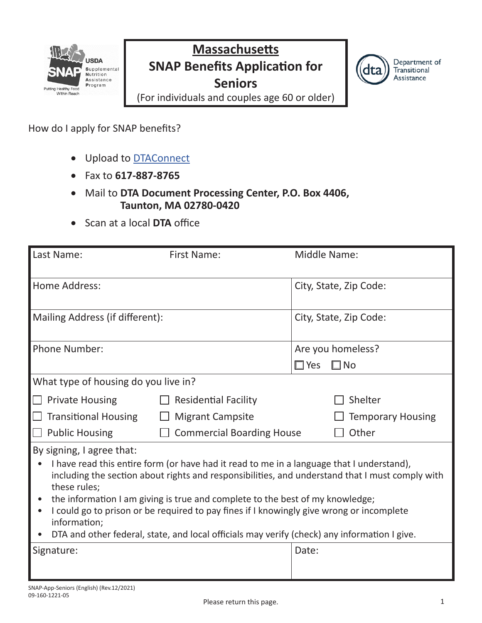

### **Massachusetts SNAP Benefits Application for Seniors**



(For individuals and couples age 60 or older)

How do I apply for SNAP benefits?

- Upload to **DTAConnect**
- • Fax to **617-887-8765**
- • Mail to **DTA Document Processing Center, P.O. Box 4406, Taunton, MA 02780-0420**
- • Scan at a local **DTA** office

| Last Name:                                                | <b>First Name:</b>                                                                                                                                                                                                                                                                                                                                                     | Middle Name:                                                                                    |
|-----------------------------------------------------------|------------------------------------------------------------------------------------------------------------------------------------------------------------------------------------------------------------------------------------------------------------------------------------------------------------------------------------------------------------------------|-------------------------------------------------------------------------------------------------|
| Home Address:                                             |                                                                                                                                                                                                                                                                                                                                                                        | City, State, Zip Code:                                                                          |
| Mailing Address (if different):                           |                                                                                                                                                                                                                                                                                                                                                                        | City, State, Zip Code:                                                                          |
| Phone Number:                                             |                                                                                                                                                                                                                                                                                                                                                                        | Are you homeless?                                                                               |
|                                                           |                                                                                                                                                                                                                                                                                                                                                                        | $\square$ No<br>$\square$ Yes                                                                   |
| What type of housing do you live in?                      |                                                                                                                                                                                                                                                                                                                                                                        |                                                                                                 |
| <b>Private Housing</b>                                    | <b>Residential Facility</b>                                                                                                                                                                                                                                                                                                                                            | Shelter                                                                                         |
| <b>Transitional Housing</b>                               | <b>Migrant Campsite</b>                                                                                                                                                                                                                                                                                                                                                | <b>Temporary Housing</b>                                                                        |
| <b>Public Housing</b>                                     | <b>Commercial Boarding House</b>                                                                                                                                                                                                                                                                                                                                       | Other                                                                                           |
| By signing, I agree that:<br>these rules;<br>information; | I have read this entire form (or have had it read to me in a language that I understand),<br>the information I am giving is true and complete to the best of my knowledge;<br>I could go to prison or be required to pay fines if I knowingly give wrong or incomplete<br>DTA and other federal, state, and local officials may verify (check) any information I give. | including the section about rights and responsibilities, and understand that I must comply with |
| Signature:                                                |                                                                                                                                                                                                                                                                                                                                                                        | Date:                                                                                           |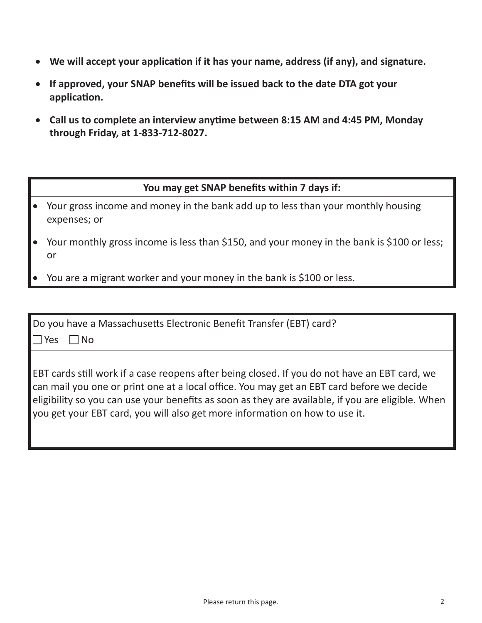- **We will accept your application if it has your name, address (if any), and signature.**
- **If approved, your SNAP benefits will be issued back to the date DTA got your application.**
- **Call us to complete an interview anytime between 8:15 AM and 4:45 PM, Monday through Friday, at 1-833-712-8027.**

#### **You may get SNAP benefits within 7 days if:**

- Your gross income and money in the bank add up to less than your monthly housing expenses; or
- Your monthly gross income is less than \$150, and your money in the bank is \$100 or less; or
- You are a migrant worker and your money in the bank is \$100 or less.

| Do you have a Massachusetts Electronic Benefit Transfer (EBT) card?<br>$\blacksquare$ Yes<br>1No                                                                                                                                                                                                                                                                                      |
|---------------------------------------------------------------------------------------------------------------------------------------------------------------------------------------------------------------------------------------------------------------------------------------------------------------------------------------------------------------------------------------|
| <b>EBT cards still work if a case reopens after being closed. If you do not have an EBT card, we</b><br>can mail you one or print one at a local office. You may get an EBT card before we decide<br>eligibility so you can use your benefits as soon as they are available, if you are eligible. When<br>you get your EBT card, you will also get more information on how to use it. |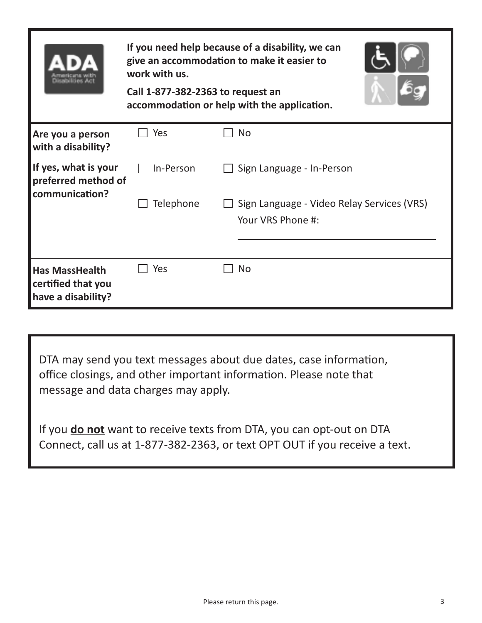| kunitai liti est. Jian                                            | If you need help because of a disability, we can<br>give an accommodation to make it easier to<br>work with us.<br>Call 1-877-382-2363 to request an<br>accommodation or help with the application. |                                                                 |  |  |  |
|-------------------------------------------------------------------|-----------------------------------------------------------------------------------------------------------------------------------------------------------------------------------------------------|-----------------------------------------------------------------|--|--|--|
| Are you a person<br>with a disability?                            | Yes                                                                                                                                                                                                 | <b>No</b>                                                       |  |  |  |
| If yes, what is your<br>preferred method of<br>communication?     | In-Person                                                                                                                                                                                           | Sign Language - In-Person                                       |  |  |  |
|                                                                   | Telephone                                                                                                                                                                                           | Sign Language - Video Relay Services (VRS)<br>Your VRS Phone #: |  |  |  |
| <b>Has MassHealth</b><br>certified that you<br>have a disability? | Yes                                                                                                                                                                                                 | <b>No</b>                                                       |  |  |  |

DTA may send you text messages about due dates, case information, office closings, and other important information. Please note that message and data charges may apply.

If you **do not** want to receive texts from DTA, you can opt-out on DTA Connect, call us at 1-877-382-2363, or text OPT OUT if you receive a text.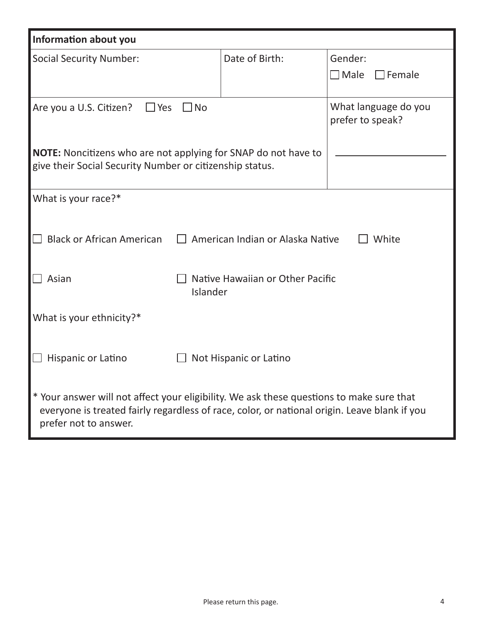| Information about you                                                                                                                                                                                             |  |                                  |                                          |  |
|-------------------------------------------------------------------------------------------------------------------------------------------------------------------------------------------------------------------|--|----------------------------------|------------------------------------------|--|
| <b>Social Security Number:</b>                                                                                                                                                                                    |  | Date of Birth:                   | Gender:                                  |  |
|                                                                                                                                                                                                                   |  |                                  | $\Box$ Male<br>$\Box$ Female             |  |
| Are you a U.S. Citizen?<br>$\Box$ Yes<br><b>No</b>                                                                                                                                                                |  |                                  | What language do you<br>prefer to speak? |  |
| <b>NOTE:</b> Noncitizens who are not applying for SNAP do not have to<br>give their Social Security Number or citizenship status.                                                                                 |  |                                  |                                          |  |
| What is your race?*                                                                                                                                                                                               |  |                                  |                                          |  |
|                                                                                                                                                                                                                   |  |                                  |                                          |  |
| <b>Black or African American</b>                                                                                                                                                                                  |  | American Indian or Alaska Native | White                                    |  |
|                                                                                                                                                                                                                   |  |                                  |                                          |  |
| Native Hawaiian or Other Pacific<br>Asian<br>Islander                                                                                                                                                             |  |                                  |                                          |  |
| What is your ethnicity?*                                                                                                                                                                                          |  |                                  |                                          |  |
| Hispanic or Latino<br>Not Hispanic or Latino                                                                                                                                                                      |  |                                  |                                          |  |
| * Your answer will not affect your eligibility. We ask these questions to make sure that<br>everyone is treated fairly regardless of race, color, or national origin. Leave blank if you<br>prefer not to answer. |  |                                  |                                          |  |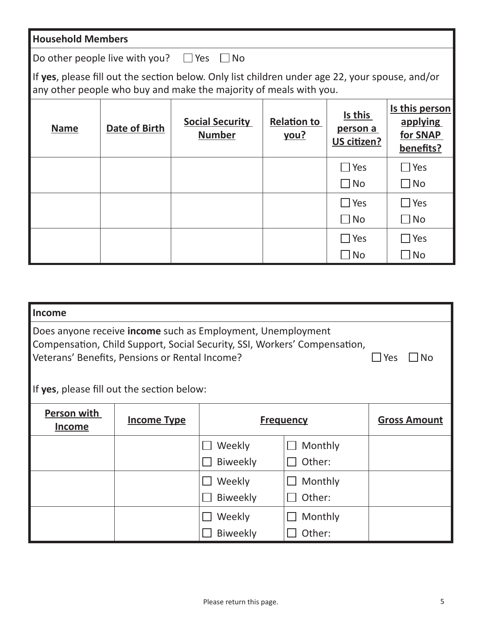Do other people live with you?  $\Box$  Yes  $\Box$  No

If **yes**, please fill out the section below. Only list children under age 22, your spouse, and/or any other people who buy and make the majority of meals with you.

| <b>Name</b> | Date of Birth | <b>Social Security</b><br><b>Number</b> | <b>Relation to</b><br>you? | Is this<br>person a<br>US citizen? | Is this person<br>applying<br>for SNAP<br>benefits? |
|-------------|---------------|-----------------------------------------|----------------------------|------------------------------------|-----------------------------------------------------|
|             |               |                                         |                            | $\Box$ Yes                         | $\Box$ Yes                                          |
|             |               |                                         |                            | $\Box$ No                          | $\square$ No                                        |
|             |               |                                         |                            | $\Box$ Yes                         | $\square$ Yes                                       |
|             |               |                                         |                            | $\Box$ No                          | $\Box$ No                                           |
|             |               |                                         |                            | $\Box$ Yes                         | $\square$ Yes                                       |
|             |               |                                         |                            | $\square$ No                       | $\Box$ No                                           |

| <b>Income</b>                                                                                                                                                                                                                                          |  |                 |         |                     |  |  |
|--------------------------------------------------------------------------------------------------------------------------------------------------------------------------------------------------------------------------------------------------------|--|-----------------|---------|---------------------|--|--|
| Does anyone receive income such as Employment, Unemployment<br>Compensation, Child Support, Social Security, SSI, Workers' Compensation,<br>Veterans' Benefits, Pensions or Rental Income?<br>No.<br>Yes<br>If yes, please fill out the section below: |  |                 |         |                     |  |  |
| <b>Person with</b><br><b>Income Type</b><br><b>Frequency</b>                                                                                                                                                                                           |  |                 |         | <b>Gross Amount</b> |  |  |
| <b>Income</b>                                                                                                                                                                                                                                          |  |                 |         |                     |  |  |
|                                                                                                                                                                                                                                                        |  | Weekly          | Monthly |                     |  |  |
|                                                                                                                                                                                                                                                        |  | <b>Biweekly</b> | Other:  |                     |  |  |
|                                                                                                                                                                                                                                                        |  | Weekly          | Monthly |                     |  |  |
|                                                                                                                                                                                                                                                        |  | <b>Biweekly</b> | Other:  |                     |  |  |
|                                                                                                                                                                                                                                                        |  | Weekly          | Monthly |                     |  |  |
|                                                                                                                                                                                                                                                        |  | <b>Biweekly</b> | Other:  |                     |  |  |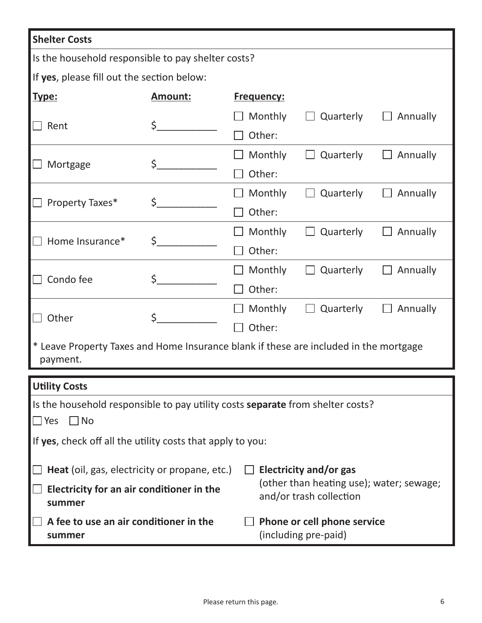| <b>Shelter Costs</b>                                                                                                       |                |  |                                                     |           |          |  |
|----------------------------------------------------------------------------------------------------------------------------|----------------|--|-----------------------------------------------------|-----------|----------|--|
| Is the household responsible to pay shelter costs?                                                                         |                |  |                                                     |           |          |  |
| If yes, please fill out the section below:                                                                                 |                |  |                                                     |           |          |  |
| Type:                                                                                                                      | <b>Amount:</b> |  | <b>Frequency:</b>                                   |           |          |  |
|                                                                                                                            |                |  | Monthly                                             | Quarterly | Annually |  |
| Rent                                                                                                                       | \$             |  | Other:                                              |           |          |  |
|                                                                                                                            |                |  | Monthly                                             | Quarterly | Annually |  |
| Mortgage                                                                                                                   | \$             |  | Other:                                              |           |          |  |
|                                                                                                                            |                |  | Monthly                                             | Quarterly | Annually |  |
| Property Taxes*                                                                                                            | \$             |  | Other:                                              |           |          |  |
|                                                                                                                            |                |  | Monthly                                             | Quarterly | Annually |  |
| Home Insurance*                                                                                                            | \$             |  | Other:                                              |           |          |  |
|                                                                                                                            |                |  | Monthly                                             | Quarterly | Annually |  |
| Condo fee                                                                                                                  | \$             |  | Other:                                              |           |          |  |
|                                                                                                                            | \$             |  | Monthly                                             | Quarterly | Annually |  |
| Other                                                                                                                      |                |  | Other:                                              |           |          |  |
| * Leave Property Taxes and Home Insurance blank if these are included in the mortgage<br>payment.                          |                |  |                                                     |           |          |  |
| <b>Utility Costs</b>                                                                                                       |                |  |                                                     |           |          |  |
| Is the household responsible to pay utility costs separate from shelter costs?                                             |                |  |                                                     |           |          |  |
| $\square$ Yes<br>$\square$ No                                                                                              |                |  |                                                     |           |          |  |
| If yes, check off all the utility costs that apply to you:                                                                 |                |  |                                                     |           |          |  |
|                                                                                                                            |                |  |                                                     |           |          |  |
| Heat (oil, gas, electricity or propane, etc.)<br>Electricity and/or gas                                                    |                |  |                                                     |           |          |  |
| (other than heating use); water; sewage;<br>Electricity for an air conditioner in the<br>and/or trash collection<br>summer |                |  |                                                     |           |          |  |
| A fee to use an air conditioner in the<br>summer                                                                           |                |  | Phone or cell phone service<br>(including pre-paid) |           |          |  |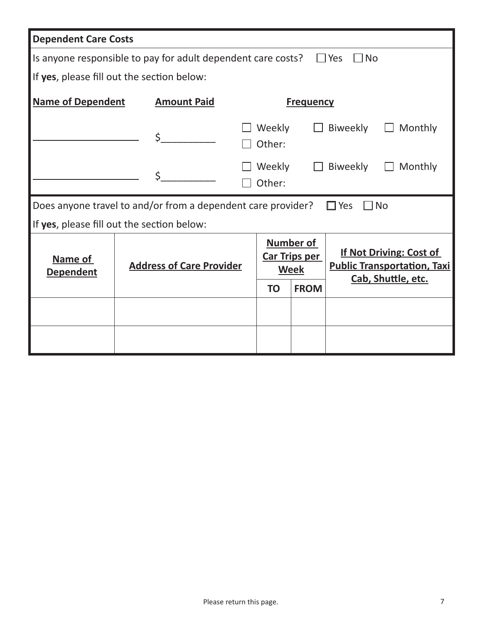| <b>Dependent Care Costs</b> |                                                              |                                                                                                                                                                                   |  |  |  |  |
|-----------------------------|--------------------------------------------------------------|-----------------------------------------------------------------------------------------------------------------------------------------------------------------------------------|--|--|--|--|
|                             | Is anyone responsible to pay for adult dependent care costs? | $\Box$ Yes<br>l INo                                                                                                                                                               |  |  |  |  |
|                             | If yes, please fill out the section below:                   |                                                                                                                                                                                   |  |  |  |  |
| <b>Name of Dependent</b>    | <b>Amount Paid</b>                                           | <b>Frequency</b>                                                                                                                                                                  |  |  |  |  |
|                             | \$                                                           | Weekly<br>Biweekly<br>Monthly<br>Other:                                                                                                                                           |  |  |  |  |
|                             | \$                                                           | Biweekly<br>Weekly<br>Monthly<br>$\mathbf{1}$<br>Other:                                                                                                                           |  |  |  |  |
|                             | Does anyone travel to and/or from a dependent care provider? | $\Box$ Yes<br>$\Box$ No                                                                                                                                                           |  |  |  |  |
|                             | If yes, please fill out the section below:                   |                                                                                                                                                                                   |  |  |  |  |
| Name of<br><b>Dependent</b> | <b>Address of Care Provider</b>                              | <b>Number of</b><br><b>If Not Driving: Cost of</b><br><b>Car Trips per</b><br><b>Public Transportation, Taxi</b><br><b>Week</b><br>Cab, Shuttle, etc.<br><b>FROM</b><br><b>TO</b> |  |  |  |  |
|                             |                                                              |                                                                                                                                                                                   |  |  |  |  |
|                             |                                                              |                                                                                                                                                                                   |  |  |  |  |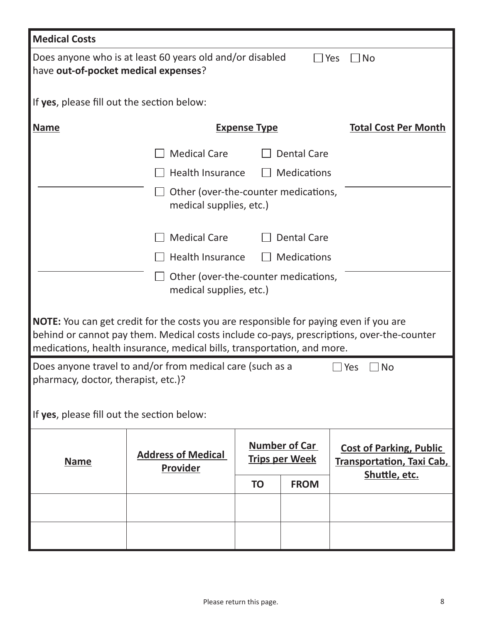| <b>Medical Costs</b>                                                                                                           |                                                                                                                                                                                                                                                                      |                                                            |                                                                                     |                             |  |  |
|--------------------------------------------------------------------------------------------------------------------------------|----------------------------------------------------------------------------------------------------------------------------------------------------------------------------------------------------------------------------------------------------------------------|------------------------------------------------------------|-------------------------------------------------------------------------------------|-----------------------------|--|--|
| Does anyone who is at least 60 years old and/or disabled<br>□No<br>$\Box$ Yes<br>have out-of-pocket medical expenses?          |                                                                                                                                                                                                                                                                      |                                                            |                                                                                     |                             |  |  |
| If yes, please fill out the section below:                                                                                     |                                                                                                                                                                                                                                                                      |                                                            |                                                                                     |                             |  |  |
| <b>Name</b>                                                                                                                    |                                                                                                                                                                                                                                                                      | <b>Expense Type</b>                                        |                                                                                     | <b>Total Cost Per Month</b> |  |  |
|                                                                                                                                | <b>Medical Care</b>                                                                                                                                                                                                                                                  |                                                            | <b>Dental Care</b>                                                                  |                             |  |  |
|                                                                                                                                | Health Insurance                                                                                                                                                                                                                                                     |                                                            | <b>Medications</b>                                                                  |                             |  |  |
|                                                                                                                                | Other (over-the-counter medications,<br>medical supplies, etc.)                                                                                                                                                                                                      |                                                            |                                                                                     |                             |  |  |
|                                                                                                                                | <b>Medical Care</b>                                                                                                                                                                                                                                                  |                                                            | <b>Dental Care</b>                                                                  |                             |  |  |
|                                                                                                                                | Health Insurance                                                                                                                                                                                                                                                     |                                                            | <b>Medications</b>                                                                  |                             |  |  |
|                                                                                                                                | Other (over-the-counter medications,<br>medical supplies, etc.)                                                                                                                                                                                                      |                                                            |                                                                                     |                             |  |  |
|                                                                                                                                | <b>NOTE:</b> You can get credit for the costs you are responsible for paying even if you are<br>behind or cannot pay them. Medical costs include co-pays, prescriptions, over-the-counter<br>medications, health insurance, medical bills, transportation, and more. |                                                            |                                                                                     |                             |  |  |
| Does anyone travel to and/or from medical care (such as a<br>$\Box$ No<br>$\exists$ Yes<br>pharmacy, doctor, therapist, etc.)? |                                                                                                                                                                                                                                                                      |                                                            |                                                                                     |                             |  |  |
| If yes, please fill out the section below:                                                                                     |                                                                                                                                                                                                                                                                      |                                                            |                                                                                     |                             |  |  |
| <b>Name</b>                                                                                                                    | <b>Address of Medical</b><br><b>Provider</b>                                                                                                                                                                                                                         | <b>Number of Car</b><br><b>Trips per Week</b><br><b>TO</b> | <b>Cost of Parking, Public</b><br><b>Transportation, Taxi Cab,</b><br>Shuttle, etc. |                             |  |  |
|                                                                                                                                |                                                                                                                                                                                                                                                                      |                                                            |                                                                                     |                             |  |  |
|                                                                                                                                |                                                                                                                                                                                                                                                                      |                                                            |                                                                                     |                             |  |  |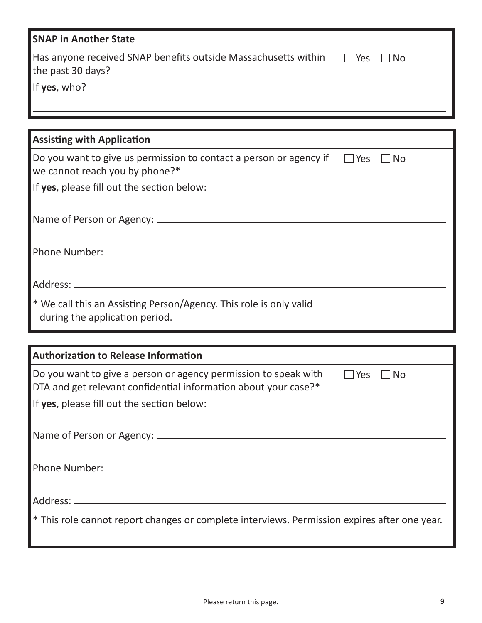| <b>SNAP in Another State</b>                                                                                                                                                                         |
|------------------------------------------------------------------------------------------------------------------------------------------------------------------------------------------------------|
| Has anyone received SNAP benefits outside Massachusetts within<br>$\Box$ No<br>$\Box$ Yes<br>the past 30 days?                                                                                       |
| If yes, who?                                                                                                                                                                                         |
|                                                                                                                                                                                                      |
|                                                                                                                                                                                                      |
| <b>Assisting with Application</b>                                                                                                                                                                    |
| Do you want to give us permission to contact a person or agency if<br>$\Box$ Yes<br>$\Box$ No<br>we cannot reach you by phone?*                                                                      |
| If yes, please fill out the section below:                                                                                                                                                           |
|                                                                                                                                                                                                      |
|                                                                                                                                                                                                      |
|                                                                                                                                                                                                      |
| * We call this an Assisting Person/Agency. This role is only valid<br>during the application period.                                                                                                 |
|                                                                                                                                                                                                      |
| <b>Authorization to Release Information</b>                                                                                                                                                          |
| Do you want to give a person or agency permission to speak with<br>Yes<br><b>No</b><br>DTA and get relevant confidential information about your case?*<br>If yes, please fill out the section below: |
|                                                                                                                                                                                                      |
|                                                                                                                                                                                                      |
|                                                                                                                                                                                                      |
| * This role cannot report changes or complete interviews. Permission expires after one year.                                                                                                         |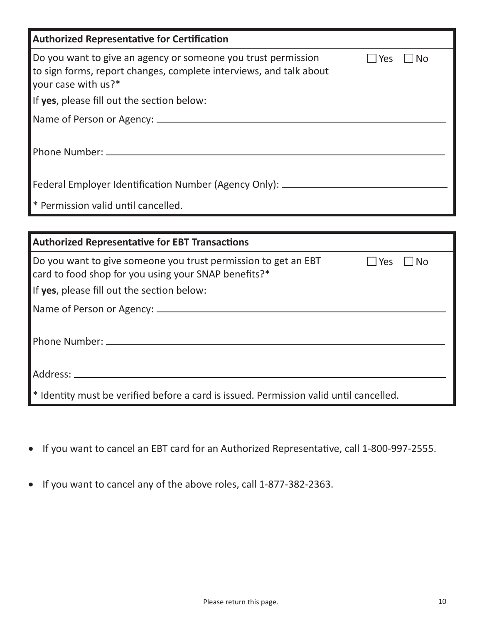| <b>Authorized Representative for Certification</b>                                                                                                         |              |     |
|------------------------------------------------------------------------------------------------------------------------------------------------------------|--------------|-----|
| Do you want to give an agency or someone you trust permission<br>to sign forms, report changes, complete interviews, and talk about<br>your case with us?* | $\sqcap$ Yes | No. |
| If yes, please fill out the section below:                                                                                                                 |              |     |
|                                                                                                                                                            |              |     |
| Phone Number: _________                                                                                                                                    |              |     |
| Federal Employer Identification Number (Agency Only): _______                                                                                              |              |     |
| * Permission valid until cancelled.                                                                                                                        |              |     |
|                                                                                                                                                            |              |     |
| <b>Authorized Representative for EBT Transactions</b>                                                                                                      |              |     |
| Do you want to give someone you trust permission to get an EBT<br>card to food shop for you using your SNAP benefits?*                                     | Yes          | Nο  |

Address:

If **yes**, please fill out the section below:

Name of Person or Agency:

Phone Number:

\* Identity must be verified before a card is issued. Permission valid until cancelled.

- • If you want to cancel an EBT card for an Authorized Representative, call 1-800-997-2555.
- If you want to cancel any of the above roles, call 1-877-382-2363.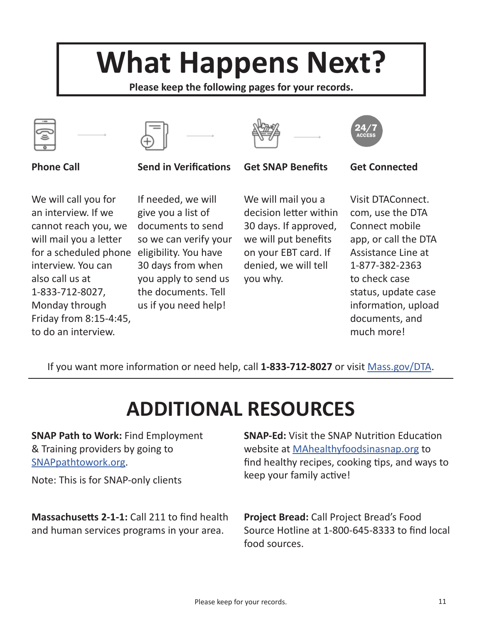# **What Happens Next?**

**Please keep the following pages for your records.**









**Phone Call Send in Verifications Get SNAP Benefits Get Connected**



We will call you for an interview. If we cannot reach you, we will mail you a letter for a scheduled phone eligibility. You have interview. You can also call us at 1-833-712-8027, Monday through Friday from 8:15-4:45, to do an interview.

If needed, we will give you a list of documents to send so we can verify your 30 days from when you apply to send us the documents. Tell us if you need help!

We will mail you a decision letter within 30 days. If approved, we will put benefits on your EBT card. If denied, we will tell you why.

Visit DTAConnect. com, use the DTA Connect mobile app, or call the DTA Assistance Line at 1-877-382-2363 to check case status, update case information, upload documents, and much more!

If you want more information or need help, call **1-833-712-8027** or visit Mass.gov/DTA.

# **ADDITIONAL RESOURCES**

**SNAP Path to Work:** Find Employment & Training providers by going to SNAPpathtowork.org.

Note: This is for SNAP-only clients

**Massachusetts 2-1-1:** Call 211 to find health and human services programs in your area.

**SNAP-Ed:** Visit the SNAP Nutrition Education website at MAhealthyfoodsinasnap.org to find healthy recipes, cooking tips, and ways to keep your family active!

**Project Bread:** Call Project Bread's Food Source Hotline at 1-800-645-8333 to find local food sources.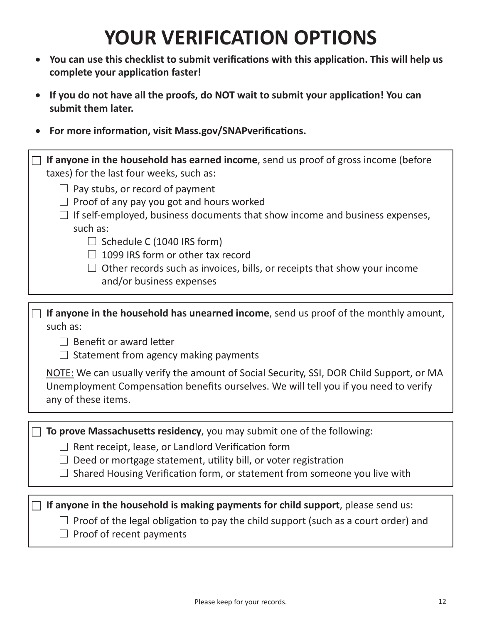## **YOUR VERIFICATION OPTIONS**

- • **You can use this checklist to submit verifications with this application. This will help us complete your application faster!**
- If you do not have all the proofs, do NOT wait to submit your application! You can **submit them later.**
- • **For more information, visit Mass.gov/SNAPverifications.**

| If anyone in the household has earned income, send us proof of gross income (before<br>taxes) for the last four weeks, such as:<br>$\Box$ Pay stubs, or record of payment<br>Proof of any pay you got and hours worked<br>If self-employed, business documents that show income and business expenses,<br>such as:<br>$\Box$ Schedule C (1040 IRS form)<br>1099 IRS form or other tax record<br>Other records such as invoices, bills, or receipts that show your income<br>and/or business expenses |
|------------------------------------------------------------------------------------------------------------------------------------------------------------------------------------------------------------------------------------------------------------------------------------------------------------------------------------------------------------------------------------------------------------------------------------------------------------------------------------------------------|
|                                                                                                                                                                                                                                                                                                                                                                                                                                                                                                      |
| If anyone in the household has unearned income, send us proof of the monthly amount,<br>such as:<br>$\Box$ Benefit or award letter<br>$\Box$ Statement from agency making payments<br>NOTE: We can usually verify the amount of Social Security, SSI, DOR Child Support, or MA<br>Unemployment Compensation benefits ourselves. We will tell you if you need to verify<br>any of these items.                                                                                                        |
|                                                                                                                                                                                                                                                                                                                                                                                                                                                                                                      |
| To prove Massachusetts residency, you may submit one of the following:<br>$\Box$ Rent receipt, lease, or Landlord Verification form<br>Deed or mortgage statement, utility bill, or voter registration<br>Shared Housing Verification form, or statement from someone you live with                                                                                                                                                                                                                  |
|                                                                                                                                                                                                                                                                                                                                                                                                                                                                                                      |
| If anyone in the household is making payments for child support, please send us:                                                                                                                                                                                                                                                                                                                                                                                                                     |
| $\Box$ Proof of the legal obligation to pay the child support (such as a court order) and                                                                                                                                                                                                                                                                                                                                                                                                            |

 $\Box$  Proof of recent payments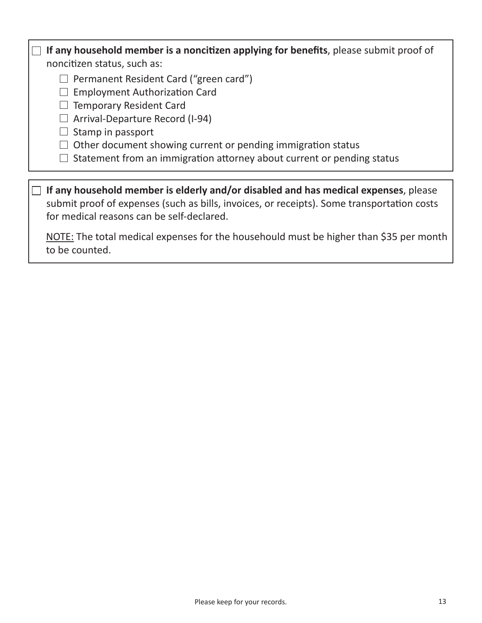### **If any household member is a noncitizen applying for benefits**, please submit proof of

noncitizen status, such as:

 $\Box$  Permanent Resident Card ("green card")

 $\Box$  Employment Authorization Card

 $\Box$  Temporary Resident Card

 $\Box$  Arrival-Departure Record (I-94)

 $\Box$  Stamp in passport

 $\Box$  Other document showing current or pending immigration status

 $\Box$  Statement from an immigration attorney about current or pending status

**If any household member is elderly and/or disabled and has medical expenses**, please submit proof of expenses (such as bills, invoices, or receipts). Some transportation costs for medical reasons can be self-declared.

NOTE: The total medical expenses for the househould must be higher than \$35 per month to be counted.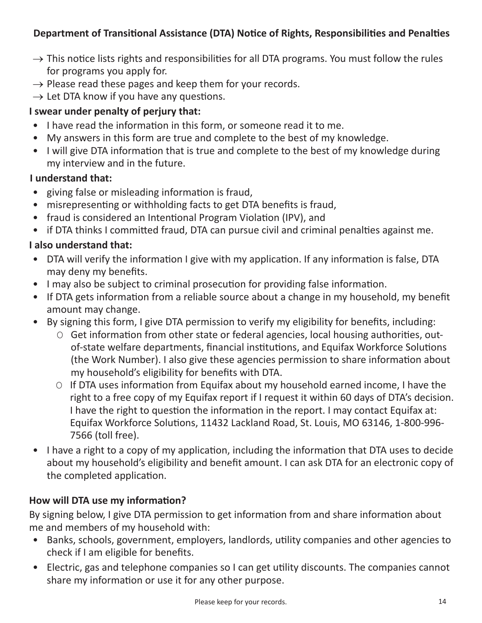#### **Department of Transitional Assistance (DTA) Notice of Rights, Responsibilities and Penalties**

- $\rightarrow$  This notice lists rights and responsibilities for all DTA programs. You must follow the rules for programs you apply for.
- $\rightarrow$  Please read these pages and keep them for your records.
- $\rightarrow$  Let DTA know if you have any questions.

#### **I swear under penalty of perjury that:**

- I have read the information in this form, or someone read it to me.
- My answers in this form are true and complete to the best of my knowledge.
- I will give DTA information that is true and complete to the best of my knowledge during my interview and in the future.

#### **I understand that:**

- giving false or misleading information is fraud,
- misrepresenting or withholding facts to get DTA benefits is fraud,
- fraud is considered an Intentional Program Violation (IPV), and
- if DTA thinks I committed fraud, DTA can pursue civil and criminal penalties against me.

#### **I also understand that:**

- DTA will verify the information I give with my application. If any information is false, DTA may deny my benefits.
- I may also be subject to criminal prosecution for providing false information.
- If DTA gets information from a reliable source about a change in my household, my benefit amount may change.
- By signing this form, I give DTA permission to verify my eligibility for benefits, including:
	- O Get information from other state or federal agencies, local housing authorities, outof-state welfare departments, financial institutions, and Equifax Workforce Solutions (the Work Number). I also give these agencies permission to share information about my household's eligibility for benefits with DTA.
	- O If DTA uses information from Equifax about my household earned income, I have the right to a free copy of my Equifax report if I request it within 60 days of DTA's decision. I have the right to question the information in the report. I may contact Equifax at: Equifax Workforce Solutions, 11432 Lackland Road, St. Louis, MO 63146, 1-800-996- 7566 (toll free).
- I have a right to a copy of my application, including the information that DTA uses to decide about my household's eligibility and benefit amount. I can ask DTA for an electronic copy of the completed application.

#### **How will DTA use my information?**

By signing below, I give DTA permission to get information from and share information about me and members of my household with:

- Banks, schools, government, employers, landlords, utility companies and other agencies to check if I am eligible for benefits.
- Electric, gas and telephone companies so I can get utility discounts. The companies cannot share my information or use it for any other purpose.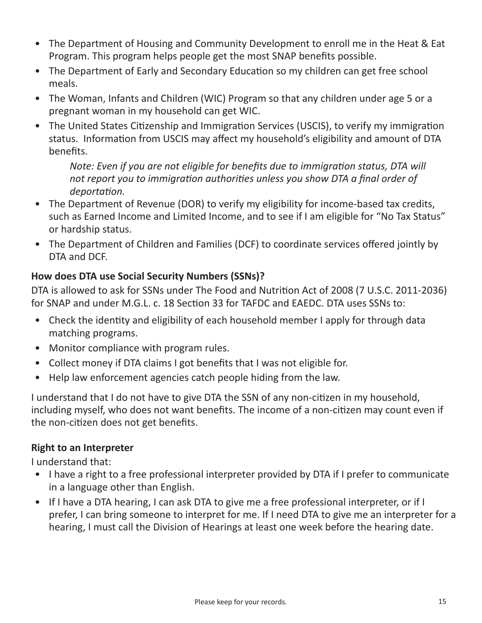- The Department of Housing and Community Development to enroll me in the Heat & Eat Program. This program helps people get the most SNAP benefits possible.
- The Department of Early and Secondary Education so my children can get free school meals.
- The Woman, Infants and Children (WIC) Program so that any children under age 5 or a pregnant woman in my household can get WIC.
- The United States Citizenship and Immigration Services (USCIS), to verify my immigration status. Information from USCIS may affect my household's eligibility and amount of DTA benefits.

*Note: Even if you are not eligible for benefits due to immigration status, DTA will not report you to immigration authorities unless you show DTA a final order of deportation.* 

- The Department of Revenue (DOR) to verify my eligibility for income-based tax credits, such as Earned Income and Limited Income, and to see if I am eligible for "No Tax Status" or hardship status.
- The Department of Children and Families (DCF) to coordinate services offered jointly by DTA and DCF.

#### **How does DTA use Social Security Numbers (SSNs)?**

DTA is allowed to ask for SSNs under The Food and Nutrition Act of 2008 (7 U.S.C. 2011-2036) for SNAP and under M.G.L. c. 18 Section 33 for TAFDC and EAEDC. DTA uses SSNs to:

- Check the identity and eligibility of each household member I apply for through data matching programs.
- Monitor compliance with program rules.
- Collect money if DTA claims I got benefits that I was not eligible for.
- Help law enforcement agencies catch people hiding from the law.

I understand that I do not have to give DTA the SSN of any non-citizen in my household, including myself, who does not want benefits. The income of a non-citizen may count even if the non-citizen does not get benefits.

#### **Right to an Interpreter**

I understand that:

- I have a right to a free professional interpreter provided by DTA if I prefer to communicate in a language other than English.
- If I have a DTA hearing, I can ask DTA to give me a free professional interpreter, or if I prefer, I can bring someone to interpret for me. If I need DTA to give me an interpreter for a hearing, I must call the Division of Hearings at least one week before the hearing date.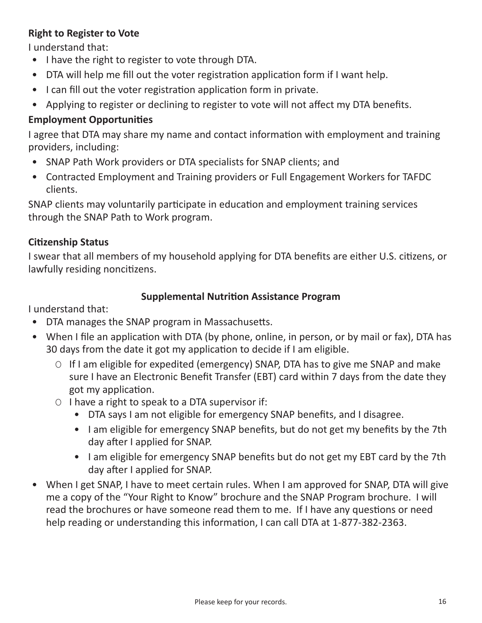#### **Right to Register to Vote**

I understand that:

- I have the right to register to vote through DTA.
- DTA will help me fill out the voter registration application form if I want help.
- I can fill out the voter registration application form in private.
- Applying to register or declining to register to vote will not affect my DTA benefits.

#### **Employment Opportunities**

I agree that DTA may share my name and contact information with employment and training providers, including:

- SNAP Path Work providers or DTA specialists for SNAP clients; and
- Contracted Employment and Training providers or Full Engagement Workers for TAFDC clients.

SNAP clients may voluntarily participate in education and employment training services through the SNAP Path to Work program.

#### **Citizenship Status**

I swear that all members of my household applying for DTA benefits are either U.S. citizens, or lawfully residing noncitizens.

#### **Supplemental Nutrition Assistance Program**

I understand that:

- DTA manages the SNAP program in Massachusetts.
- When I file an application with DTA (by phone, online, in person, or by mail or fax), DTA has 30 days from the date it got my application to decide if I am eligible.
	- O If I am eligible for expedited (emergency) SNAP, DTA has to give me SNAP and make sure I have an Electronic Benefit Transfer (EBT) card within 7 days from the date they got my application.
	- O I have a right to speak to a DTA supervisor if:
		- DTA says I am not eligible for emergency SNAP benefits, and I disagree.
		- I am eligible for emergency SNAP benefits, but do not get my benefits by the 7th day after I applied for SNAP.
		- I am eligible for emergency SNAP benefits but do not get my EBT card by the 7th day after I applied for SNAP.
- When I get SNAP, I have to meet certain rules. When I am approved for SNAP, DTA will give me a copy of the "Your Right to Know" brochure and the SNAP Program brochure. I will read the brochures or have someone read them to me. If I have any questions or need help reading or understanding this information, I can call DTA at 1-877-382-2363.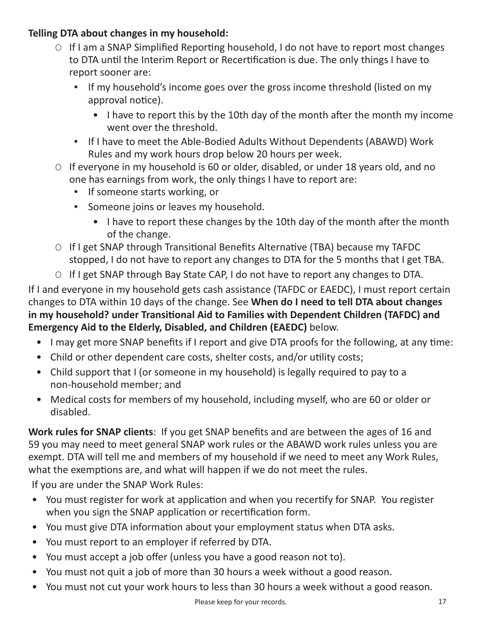#### **Telling DTA about changes in my household:**

- O If I am a SNAP Simplified Reporting household, I do not have to report most changes to DTA until the Interim Report or Recertification is due. The only things I have to report sooner are:
	- If my household's income goes over the gross income threshold (listed on my approval notice).
		- I have to report this by the 10th day of the month after the month my income went over the threshold.
	- If I have to meet the Able-Bodied Adults Without Dependents (ABAWD) Work Rules and my work hours drop below 20 hours per week.
- O If everyone in my household is 60 or older, disabled, or under 18 years old, and no one has earnings from work, the only things I have to report are:
	- **·** If someone starts working, or
	- Someone joins or leaves my household.
		- I have to report these changes by the 10th day of the month after the month of the change.
- O If I get SNAP through Transitional Benefits Alternative (TBA) because my TAFDC stopped, I do not have to report any changes to DTA for the 5 months that I get TBA.
- O If I get SNAP through Bay State CAP, I do not have to report any changes to DTA.

If I and everyone in my household gets cash assistance (TAFDC or EAEDC), I must report certain changes to DTA within 10 days of the change. See **When do I need to tell DTA about changes in my household? under Transitional Aid to Families with Dependent Children (TAFDC) and Emergency Aid to the Elderly, Disabled, and Children (EAEDC)** below.

- I may get more SNAP benefits if I report and give DTA proofs for the following, at any time:
- Child or other dependent care costs, shelter costs, and/or utility costs;
- Child support that I (or someone in my household) is legally required to pay to a non-household member; and
- Medical costs for members of my household, including myself, who are 60 or older or disabled.

**Work rules for SNAP clients**: If you get SNAP benefits and are between the ages of 16 and 59 you may need to meet general SNAP work rules or the ABAWD work rules unless you are exempt. DTA will tell me and members of my household if we need to meet any Work Rules, what the exemptions are, and what will happen if we do not meet the rules.

If you are under the SNAP Work Rules:

- You must register for work at application and when you recertify for SNAP. You register when you sign the SNAP application or recertification form.
- You must give DTA information about your employment status when DTA asks.
- You must report to an employer if referred by DTA.
- You must accept a job offer (unless you have a good reason not to).
- You must not quit a job of more than 30 hours a week without a good reason.
- You must not cut your work hours to less than 30 hours a week without a good reason.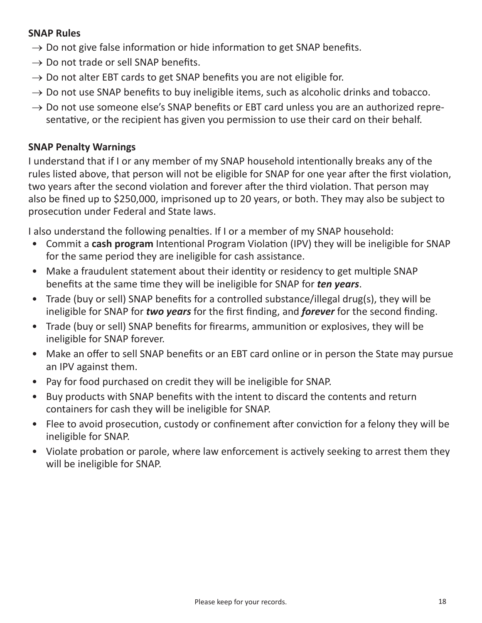#### **SNAP Rules**

- $\rightarrow$  Do not give false information or hide information to get SNAP benefits.
- $\rightarrow$  Do not trade or sell SNAP benefits.
- $\rightarrow$  Do not alter EBT cards to get SNAP benefits you are not eligible for.
- $\rightarrow$  Do not use SNAP benefits to buy ineligible items, such as alcoholic drinks and tobacco.
- $\rightarrow$  Do not use someone else's SNAP benefits or EBT card unless you are an authorized representative, or the recipient has given you permission to use their card on their behalf.

#### **SNAP Penalty Warnings**

I understand that if I or any member of my SNAP household intentionally breaks any of the rules listed above, that person will not be eligible for SNAP for one year after the first violation, two years after the second violation and forever after the third violation. That person may also be fined up to \$250,000, imprisoned up to 20 years, or both. They may also be subject to prosecution under Federal and State laws.

I also understand the following penalties. If I or a member of my SNAP household:

- Commit a **cash program** Intentional Program Violation (IPV) they will be ineligible for SNAP for the same period they are ineligible for cash assistance.
- Make a fraudulent statement about their identity or residency to get multiple SNAP benefits at the same time they will be ineligible for SNAP for *ten years*.
- Trade (buy or sell) SNAP benefits for a controlled substance/illegal drug(s), they will be ineligible for SNAP for *two years* for the first finding, and *forever* for the second finding.
- Trade (buy or sell) SNAP benefits for firearms, ammunition or explosives, they will be ineligible for SNAP forever.
- Make an offer to sell SNAP benefits or an EBT card online or in person the State may pursue an IPV against them.
- Pay for food purchased on credit they will be ineligible for SNAP.
- Buy products with SNAP benefits with the intent to discard the contents and return containers for cash they will be ineligible for SNAP.
- Flee to avoid prosecution, custody or confinement after conviction for a felony they will be ineligible for SNAP.
- Violate probation or parole, where law enforcement is actively seeking to arrest them they will be ineligible for SNAP.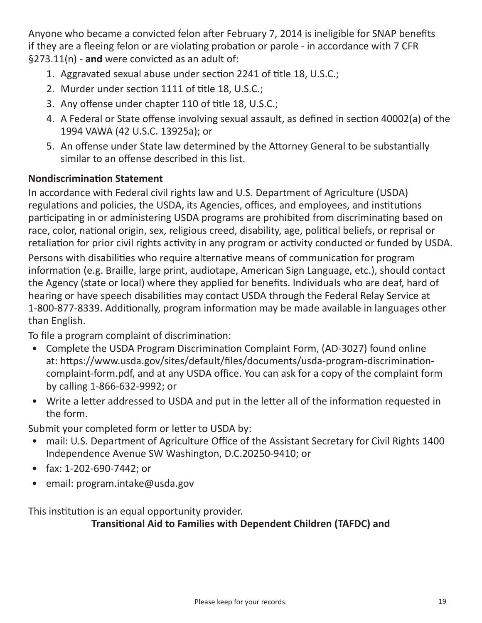Anyone who became a convicted felon after February 7, 2014 is ineligible for SNAP benefits if they are a fleeing felon or are violating probation or parole - in accordance with 7 CFR §273.11(n) - **and** were convicted as an adult of:

- 1. Aggravated sexual abuse under section 2241 of title 18, U.S.C.;
- 2. Murder under section 1111 of title 18, U.S.C.;
- 3. Any offense under chapter 110 of title 18, U.S.C.;
- 4. A Federal or State offense involving sexual assault, as defined in section 40002(a) of the 1994 VAWA (42 U.S.C. 13925a); or
- 5. An offense under State law determined by the Attorney General to be substantially similar to an offense described in this list.

#### **Nondiscrimination Statement**

In accordance with Federal civil rights law and U.S. Department of Agriculture (USDA) regulations and policies, the USDA, its Agencies, offices, and employees, and institutions participating in or administering USDA programs are prohibited from discriminating based on race, color, national origin, sex, religious creed, disability, age, political beliefs, or reprisal or retaliation for prior civil rights activity in any program or activity conducted or funded by USDA. Persons with disabilities who require alternative means of communication for program information (e.g. Braille, large print, audiotape, American Sign Language, etc.), should contact the Agency (state or local) where they applied for benefits. Individuals who are deaf, hard of hearing or have speech disabilities may contact USDA through the Federal Relay Service at 1-800-877-8339. Additionally, program information may be made available in languages other than English.

To file a program complaint of discrimination:

- Complete the USDA Program Discrimination Complaint Form, (AD-3027) found online at: https://www.usda.gov/sites/default/files/documents/usda-program-discriminationcomplaint-form.pdf, and at any USDA office. You can ask for a copy of the complaint form by calling 1-866-632-9992; or
- Write a letter addressed to USDA and put in the letter all of the information requested in the form.

Submit your completed form or letter to USDA by:

- mail: U.S. Department of Agriculture Office of the Assistant Secretary for Civil Rights 1400 Independence Avenue SW Washington, D.C.20250-9410; or
- fax: 1-202-690-7442; or
- email: program.intake@usda.gov

This institution is an equal opportunity provider.

**Transitional Aid to Families with Dependent Children (TAFDC) and**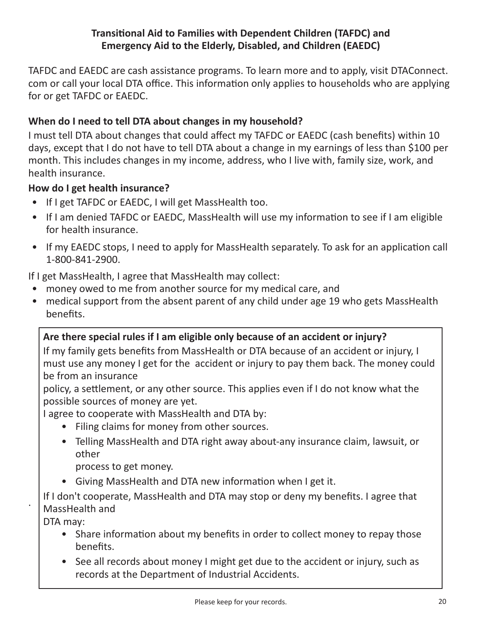#### **Transitional Aid to Families with Dependent Children (TAFDC) and Emergency Aid to the Elderly, Disabled, and Children (EAEDC)**

TAFDC and EAEDC are cash assistance programs. To learn more and to apply, visit DTAConnect. com or call your local DTA office. This information only applies to households who are applying for or get TAFDC or EAEDC.

#### **When do I need to tell DTA about changes in my household?**

I must tell DTA about changes that could affect my TAFDC or EAEDC (cash benefits) within 10 days, except that I do not have to tell DTA about a change in my earnings of less than \$100 per month. This includes changes in my income, address, who I live with, family size, work, and health insurance.

#### **How do I get health insurance?**

- If I get TAFDC or EAEDC, I will get MassHealth too.
- If I am denied TAFDC or EAEDC, MassHealth will use my information to see if I am eligible for health insurance.
- If my EAEDC stops, I need to apply for MassHealth separately. To ask for an application call 1-800-841-2900.

If I get MassHealth, I agree that MassHealth may collect:

- money owed to me from another source for my medical care, and
- medical support from the absent parent of any child under age 19 who gets MassHealth benefits.

#### **Are there special rules if I am eligible only because of an accident or injury?**

If my family gets benefits from MassHealth or DTA because of an accident or injury, I must use any money I get for the accident or injury to pay them back. The money could be from an insurance

policy, a settlement, or any other source. This applies even if I do not know what the possible sources of money are yet.

I agree to cooperate with MassHealth and DTA by:

- Filing claims for money from other sources.
- Telling MassHealth and DTA right away about-any insurance claim, lawsuit, or other
	- process to get money.
- Giving MassHealth and DTA new information when I get it.

If I don't cooperate, MassHealth and DTA may stop or deny my benefits. I agree that MassHealth and

DTA may:

.

- Share information about my benefits in order to collect money to repay those benefits.
- See all records about money I might get due to the accident or injury, such as records at the Department of Industrial Accidents.